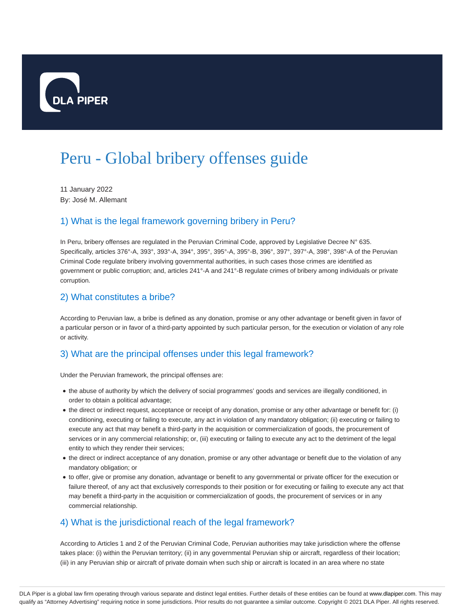

# Peru - Global bribery offenses guide

11 January 2022 By: José M. Allemant

## 1) What is the legal framework governing bribery in Peru?

In Peru, bribery offenses are regulated in the Peruvian Criminal Code, approved by Legislative Decree N° 635. Specifically, articles 376°-A, 393°, 393°-A, 394°, 395°, 395°-A, 395°-B, 396°, 397°, 397°-A, 398°, 398°-A of the Peruvian Criminal Code regulate bribery involving governmental authorities, in such cases those crimes are identified as government or public corruption; and, articles 241°-A and 241°-B regulate crimes of bribery among individuals or private corruption.

## 2) What constitutes a bribe?

According to Peruvian law, a bribe is defined as any donation, promise or any other advantage or benefit given in favor of a particular person or in favor of a third-party appointed by such particular person, for the execution or violation of any role or activity.

## 3) What are the principal offenses under this legal framework?

Under the Peruvian framework, the principal offenses are:

- the abuse of authority by which the delivery of social programmes' goods and services are illegally conditioned, in order to obtain a political advantage;
- the direct or indirect request, acceptance or receipt of any donation, promise or any other advantage or benefit for: (i) conditioning, executing or failing to execute, any act in violation of any mandatory obligation; (ii) executing or failing to execute any act that may benefit a third-party in the acquisition or commercialization of goods, the procurement of services or in any commercial relationship; or, (iii) executing or failing to execute any act to the detriment of the legal entity to which they render their services;
- the direct or indirect acceptance of any donation, promise or any other advantage or benefit due to the violation of any mandatory obligation; or
- to offer, give or promise any donation, advantage or benefit to any governmental or private officer for the execution or failure thereof, of any act that exclusively corresponds to their position or for executing or failing to execute any act that may benefit a third-party in the acquisition or commercialization of goods, the procurement of services or in any commercial relationship.

## 4) What is the jurisdictional reach of the legal framework?

According to Articles 1 and 2 of the Peruvian Criminal Code, Peruvian authorities may take jurisdiction where the offense takes place: (i) within the Peruvian territory; (ii) in any governmental Peruvian ship or aircraft, regardless of their location; (iii) in any Peruvian ship or aircraft of private domain when such ship or aircraft is located in an area where no state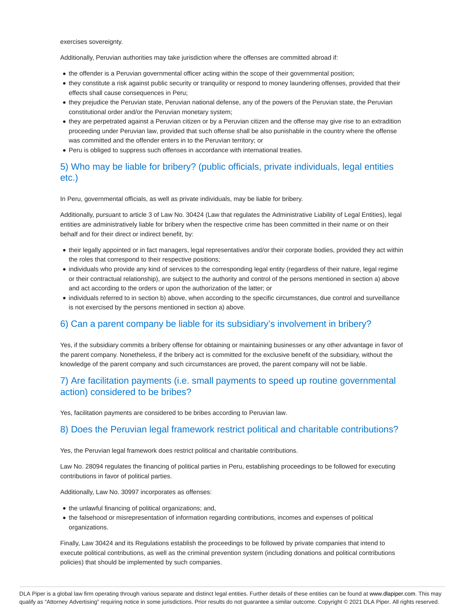exercises sovereignty.

Additionally, Peruvian authorities may take jurisdiction where the offenses are committed abroad if:

- the offender is a Peruvian governmental officer acting within the scope of their governmental position;
- they constitute a risk against public security or tranquility or respond to money laundering offenses, provided that their effects shall cause consequences in Peru;
- they prejudice the Peruvian state, Peruvian national defense, any of the powers of the Peruvian state, the Peruvian constitutional order and/or the Peruvian monetary system;
- they are perpetrated against a Peruvian citizen or by a Peruvian citizen and the offense may give rise to an extradition proceeding under Peruvian law, provided that such offense shall be also punishable in the country where the offense was committed and the offender enters in to the Peruvian territory; or
- Peru is obliged to suppress such offenses in accordance with international treaties.

## 5) Who may be liable for bribery? (public officials, private individuals, legal entities etc.)

In Peru, governmental officials, as well as private individuals, may be liable for bribery.

Additionally, pursuant to article 3 of Law No. 30424 (Law that regulates the Administrative Liability of Legal Entities), legal entities are administratively liable for bribery when the respective crime has been committed in their name or on their behalf and for their direct or indirect benefit, by:

- their legally appointed or in fact managers, legal representatives and/or their corporate bodies, provided they act within the roles that correspond to their respective positions;
- individuals who provide any kind of services to the corresponding legal entity (regardless of their nature, legal regime or their contractual relationship), are subject to the authority and control of the persons mentioned in section a) above and act according to the orders or upon the authorization of the latter; or
- individuals referred to in section b) above, when according to the specific circumstances, due control and surveillance is not exercised by the persons mentioned in section a) above.

#### 6) Can a parent company be liable for its subsidiary's involvement in bribery?

Yes, if the subsidiary commits a bribery offense for obtaining or maintaining businesses or any other advantage in favor of the parent company. Nonetheless, if the bribery act is committed for the exclusive benefit of the subsidiary, without the knowledge of the parent company and such circumstances are proved, the parent company will not be liable.

## 7) Are facilitation payments (i.e. small payments to speed up routine governmental action) considered to be bribes?

Yes, facilitation payments are considered to be bribes according to Peruvian law.

#### 8) Does the Peruvian legal framework restrict political and charitable contributions?

Yes, the Peruvian legal framework does restrict political and charitable contributions.

Law No. 28094 regulates the financing of political parties in Peru, establishing proceedings to be followed for executing contributions in favor of political parties.

Additionally, Law No. 30997 incorporates as offenses:

- the unlawful financing of political organizations; and,
- the falsehood or misrepresentation of information regarding contributions, incomes and expenses of political organizations.

Finally, Law 30424 and its Regulations establish the proceedings to be followed by private companies that intend to execute political contributions, as well as the criminal prevention system (including donations and political contributions policies) that should be implemented by such companies.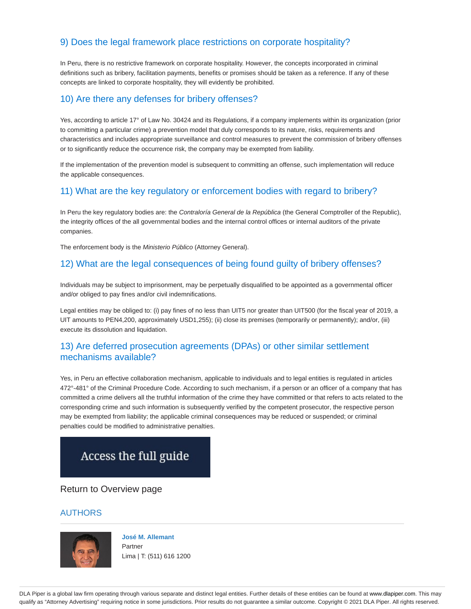## 9) Does the legal framework place restrictions on corporate hospitality?

In Peru, there is no restrictive framework on corporate hospitality. However, the concepts incorporated in criminal definitions such as bribery, facilitation payments, benefits or promises should be taken as a reference. If any of these concepts are linked to corporate hospitality, they will evidently be prohibited.

## 10) Are there any defenses for bribery offenses?

Yes, according to article 17° of Law No. 30424 and its Regulations, if a company implements within its organization (prior to committing a particular crime) a prevention model that duly corresponds to its nature, risks, requirements and characteristics and includes appropriate surveillance and control measures to prevent the commission of bribery offenses or to significantly reduce the occurrence risk, the company may be exempted from liability.

If the implementation of the prevention model is subsequent to committing an offense, such implementation will reduce the applicable consequences.

## 11) What are the key regulatory or enforcement bodies with regard to bribery?

In Peru the key regulatory bodies are: the Contraloría General de la República (the General Comptroller of the Republic), the integrity offices of the all governmental bodies and the internal control offices or internal auditors of the private companies.

The enforcement body is the Ministerio Público (Attorney General).

## 12) What are the legal consequences of being found guilty of bribery offenses?

Individuals may be subject to imprisonment, may be perpetually disqualified to be appointed as a governmental officer and/or obliged to pay fines and/or civil indemnifications.

Legal entities may be obliged to: (i) pay fines of no less than UIT5 nor greater than UIT500 (for the fiscal year of 2019, a UIT amounts to PEN4,200, approximately USD1,255); (ii) close its premises (temporarily or permanently); and/or, (iii) execute its dissolution and liquidation.

## 13) Are deferred prosecution agreements (DPAs) or other similar settlement mechanisms available?

Yes, in Peru an effective collaboration mechanism, applicable to individuals and to legal entities is regulated in articles 472°-481° of the Criminal Procedure Code. According to such mechanism, if a person or an officer of a company that has committed a crime delivers all the truthful information of the crime they have committed or that refers to acts related to the corresponding crime and such information is subsequently verified by the competent prosecutor, the respective person may be exempted from liability; the applicable criminal consequences may be reduced or suspended; or criminal penalties could be modified to administrative penalties.

## Access the full guide

#### Return to Overview page

#### AUTHORS



**José M. Allemant** Partner Lima | T: (511) 616 1200

DLA Piper is a global law firm operating through various separate and distinct legal entities. Further details of these entities can be found at www.dlapiper.com. This may qualify as "Attorney Advertising" requiring notice in some jurisdictions. Prior results do not guarantee a similar outcome. Copyright @ 2021 DLA Piper. All rights reserved.